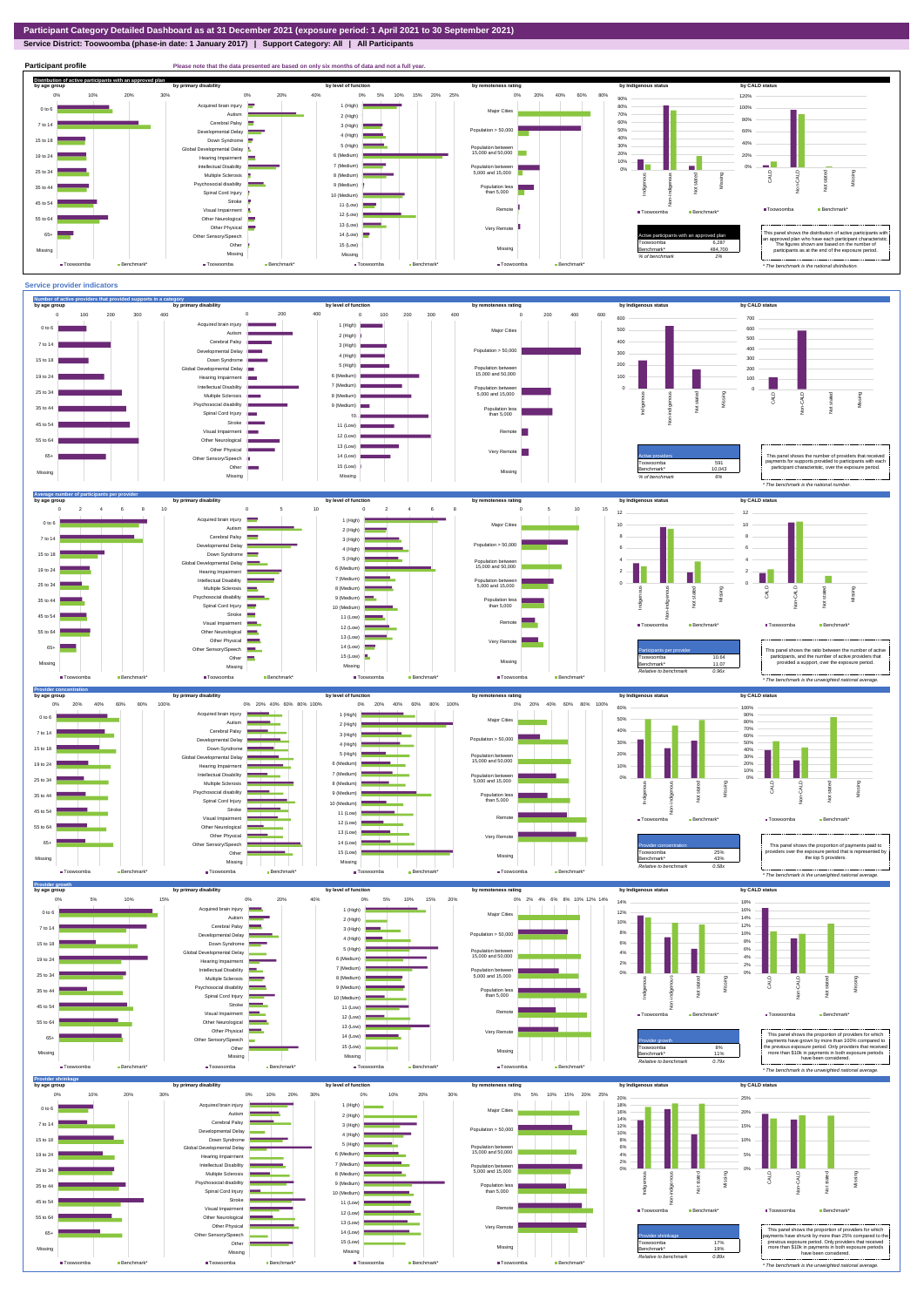## **Service District: Toowoomba (phase-in date: 1 January 2017) | Support Category: All | All Participants**



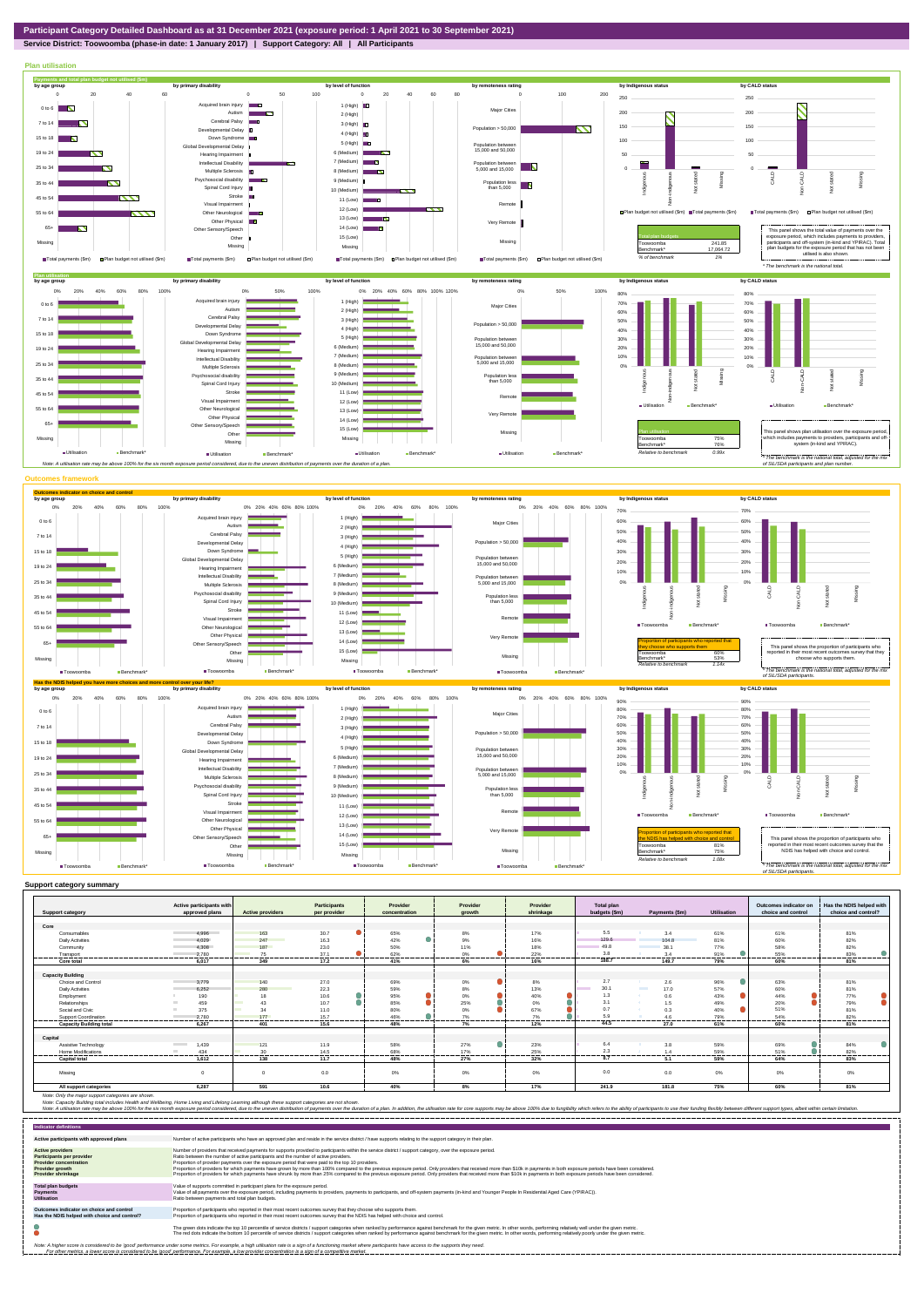## **Service District: Toowoomba (phase-in date: 1 January 2017) | Support Category: All | All Participants**



|                                | Active participants with          |                         | <b>Participants</b> | Provider      | Provider | Provider      | <b>Total plan</b> |                         |                    | Outcomes indicator on | Has the NDIS helped with |
|--------------------------------|-----------------------------------|-------------------------|---------------------|---------------|----------|---------------|-------------------|-------------------------|--------------------|-----------------------|--------------------------|
| <b>Support category</b>        | approved plans                    | <b>Active providers</b> | per provider        | concentration | growth   | shrinkage     | budgets (\$m)     | Payments (\$m)          | <b>Utilisation</b> | choice and control    | choice and control?      |
|                                |                                   |                         |                     |               |          |               |                   |                         |                    |                       |                          |
| Core                           | 4,996                             |                         |                     |               |          |               | 5.5               | 3.4                     |                    |                       | 81%                      |
| Consumables                    |                                   | 163                     | 30.7                | 65%           | 8%       | 17%           | 129.6             |                         | 61%                | 61%                   |                          |
| <b>Daily Activities</b>        | 4.029                             | 247                     | 16.3                | 42%           | 9%       | 16%           |                   | 104.8                   | 81%                | 60%                   | 82%                      |
| Community                      | 4.308                             | 187                     | 23.0                | 50%           | 11%      | 18%           | 49.8              | 38.1                    | 77%                | 58%                   | 82%                      |
| Transport                      | 2.780<br>.                        | 75                      | 37.1                | 62%           | 0%<br>   | 22%<br>------ | 3.8<br>-------    | 3.4                     | 91%<br>.           | 55%                   | 83%<br>                  |
| <b>Core total</b>              | 6.017                             | 349                     | 17.2                | 41%           | 6%       | 16%           | 188.7             | 149.7                   | 79%                | 60%                   | 81%                      |
|                                |                                   |                         |                     |               |          |               |                   |                         |                    |                       |                          |
| <b>Capacity Building</b>       |                                   |                         |                     |               |          |               | 2.7               |                         |                    |                       |                          |
| Choice and Control             | 3,779                             | 140                     | 27.0                | 69%           | $0\%$    | 8%            |                   | 2.6                     | 96%                | 63%                   | 81%                      |
| <b>Daily Activities</b>        | 6,252                             | 280                     | 22.3                | 59%           | $8\%$    | 13%           | 30.1              | <b>Contract</b><br>17.0 | 57%                | 60%                   | 81%                      |
| Employment                     | 190                               | 18                      | 10.6                | 95%           | 0%       | 40%           | 1.3               | 0.6<br>- 20             | 43%                | 44%                   | 77%                      |
| Relationships                  | 459                               | 43                      | 10.7                | 85%           | 25%      | 0%            | 3.1               | 1.5                     | 49%                | 20%                   | 79%                      |
| Social and Civic               | 375                               | 34                      | 11.0                | 80%           | 0%       | 67%           | 0.7               | 0.3                     | 40%                | 51%                   | 81%                      |
| Support Coordination           | 2.780                             | 177                     | 15.7<br>-------     | 46%<br>.      | 7%<br>.  | 7%<br>.       | 5.9               |                         | 79%                | 54%<br>-------        | 82%<br>.                 |
| <b>Capacity Building total</b> | 6.267                             | 401                     | 15.6                | 48%           | 7%       | 12%           | 44.5              | 27.0                    | 61%                | 60%                   | 81%                      |
| Capital                        |                                   |                         |                     |               |          |               |                   |                         |                    |                       |                          |
| Assistive Technology           | 1,439<br><b>Contract Contract</b> | 121                     | 11.9                | 58%           | 27%      | 23%           | 6.4               | 3.8                     | 59%                | 69%                   | 84%                      |
| <b>Home Modifications</b>      | 434<br><b>COLLEGE</b>             | 30                      | 14.5                | 68%           | 17%      | 25%           | 2.3               | 14                      | 59%                | 51%                   | 82%                      |
|                                |                                   |                         |                     |               |          |               | 8.7               |                         |                    |                       |                          |
| <b>Capital total</b>           | 1.612                             | 138                     | 11.7                | 48%           | 27%      | 32%           |                   | 5.1                     | 59%                | 64%                   | 83%                      |
| Missing                        |                                   |                         | 0.0                 | 0%            | 0%       | 0%            | 0.0               | 0.0                     | $0\%$              | 0%                    | 0%                       |
| All support categories         | 6,287                             | 591                     | 10.6                | 40%           | 8%       | 17%           | 241.9             | 181.8                   | 75%                | 60%                   | 81%                      |

Note: Only the major support categories are shown.<br>Note: Capacity Building total individual Wellbeing, Home Living and Lifelong Learning although these support categories are not shown.<br>Note: A utilisation rate may be abov

| <b>Indicator definitions</b>                                                                                                                 |                                                                                                                                                                                                                                                                                                                                                                                                                                                                                                                                                                                                                                                                                                                                                                                                                 |
|----------------------------------------------------------------------------------------------------------------------------------------------|-----------------------------------------------------------------------------------------------------------------------------------------------------------------------------------------------------------------------------------------------------------------------------------------------------------------------------------------------------------------------------------------------------------------------------------------------------------------------------------------------------------------------------------------------------------------------------------------------------------------------------------------------------------------------------------------------------------------------------------------------------------------------------------------------------------------|
| Active participants with approved plans                                                                                                      | Number of active participants who have an approved plan and reside in the service district / have supports relating to the support category in their plan.                                                                                                                                                                                                                                                                                                                                                                                                                                                                                                                                                                                                                                                      |
| <b>Active providers</b><br>Participants per provider<br><b>Provider concentration</b><br><b>Provider growth</b><br><b>Provider shrinkage</b> | Number of providers that received payments for supports provided to participants within the service district / support category, over the exposure period,<br>Ratio between the number of active participants and the number of active providers.<br>Proportion of provider payments over the exposure period that were paid to the top 10 providers.<br>Proportion of providers for which payments have grown by more than 100% compared to the previous exposure period. Only providers that received more than \$10k in payments in both exposure periods have been considered.<br>Proportion of providers for which payments have shrunk by more than 25% compared to the previous exposure period. Only providers that received more than \$10k in payments in both exposure periods have been considered. |
| <b>Total plan budgets</b><br><b>Payments</b><br><b>Utilisation</b>                                                                           | Value of supports committed in participant plans for the exposure period.<br>Value of all payments over the exposure period, including payments to providers, payments to participants, and off-system payments (in-kind and Younger People In Residential Aged Care (YPIRAC)).<br>Ratio between payments and total plan budgets.                                                                                                                                                                                                                                                                                                                                                                                                                                                                               |
| Outcomes indicator on choice and control<br>Has the NDIS helped with choice and control?                                                     | Proportion of participants who reported in their most recent outcomes survey that they choose who supports them.<br>Proportion of participants who reported in their most recent outcomes survey that the NDIS has helped with choice and control.                                                                                                                                                                                                                                                                                                                                                                                                                                                                                                                                                              |
|                                                                                                                                              | The green dots indicate the top 10 percentile of service districts / support categories when ranked by performance against benchmark for the given metric. In other words, performing relatively well under the given metric.<br>The red dots indicate the bottom 10 percentile of service districts / support categories when ranked by performance against benchmark for the given metric. In other words, performing relatively poorly under the given metri                                                                                                                                                                                                                                                                                                                                                 |
|                                                                                                                                              | Note: A higher score is considered to be 'good' performance under some metrics. For example, a high utilisation rate is a sign of a functioning market where participants have access to the supports they need.<br>For other metrics, a lower score is considered to be 'good' performance. For example, a low provider concentration is a sign of a competitive market.                                                                                                                                                                                                                                                                                                                                                                                                                                       |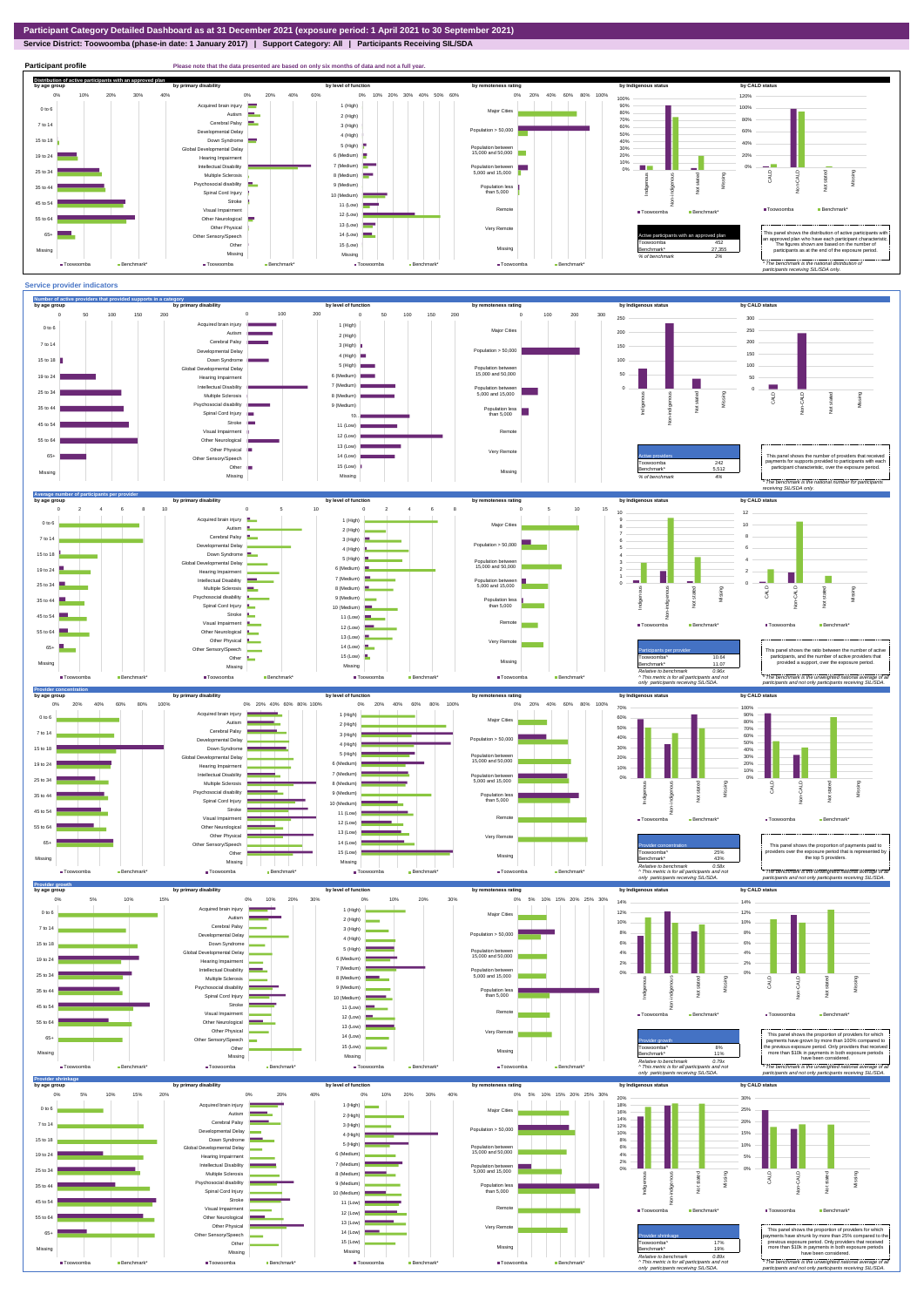**Service District: Toowoomba (phase-in date: 1 January 2017) | Support Category: All | Participants Receiving SIL/SDA**



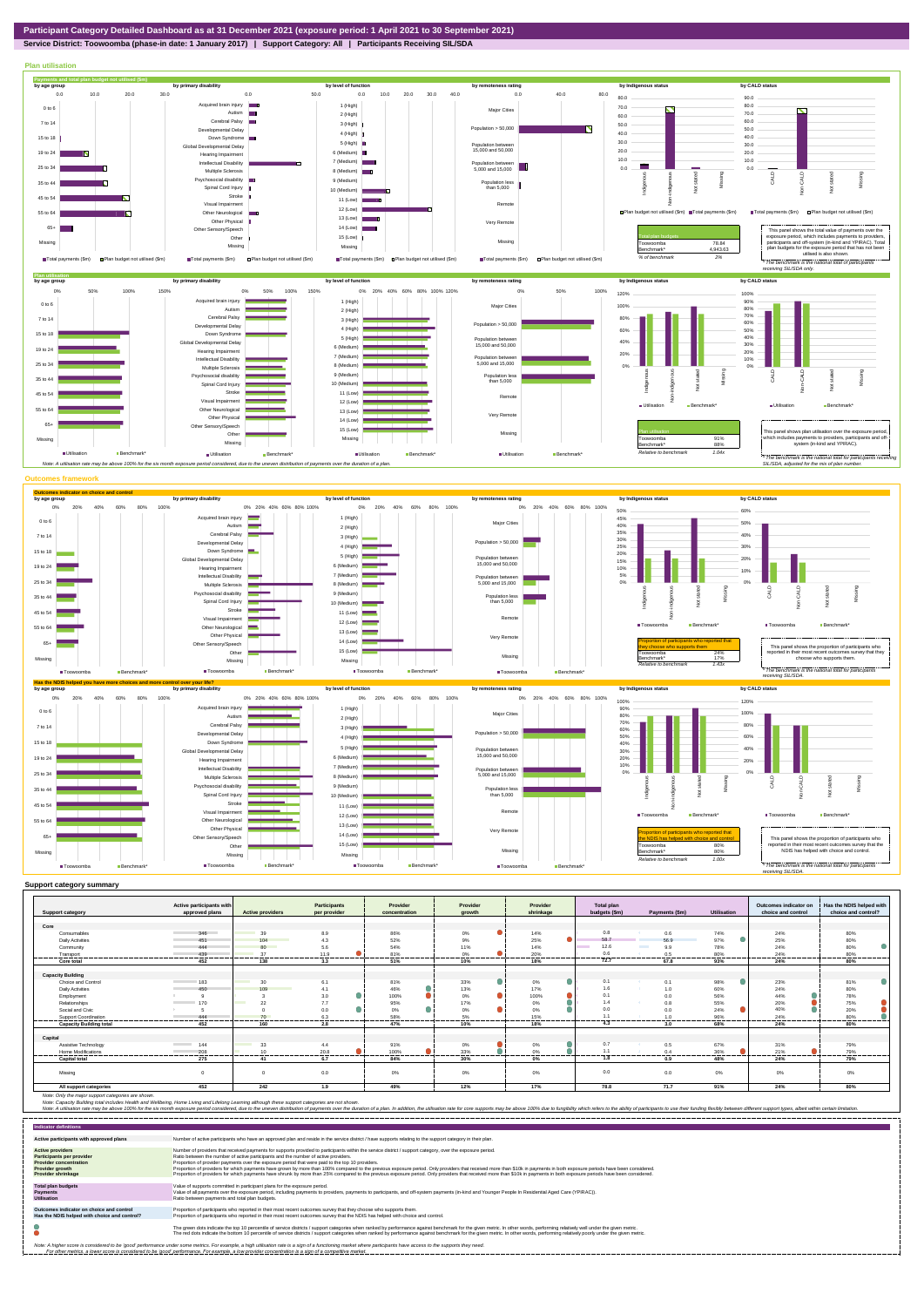

**Service District: Toowoomba (phase-in date: 1 January 2017) | Support Category: All | Participants Receiving SIL/SDA**



|                                | Active participants with        |                                                                                                                              | <b>Participants</b> | Provider       | Provider      | Provider       | Total plan      |                        |             | Outcomes indicator on | Has the NDIS helped with |
|--------------------------------|---------------------------------|------------------------------------------------------------------------------------------------------------------------------|---------------------|----------------|---------------|----------------|-----------------|------------------------|-------------|-----------------------|--------------------------|
| <b>Support category</b>        | approved plans                  | <b>Active providers</b>                                                                                                      | per provider        | concentration  | arowth        | shrinkage      | budgets (\$m)   | Payments (\$m)         | Utilisation | choice and control    | choice and control?      |
|                                |                                 |                                                                                                                              |                     |                |               |                |                 |                        |             |                       |                          |
| Core                           |                                 |                                                                                                                              |                     |                |               |                |                 |                        |             |                       |                          |
| Consumables                    | 346                             | 39                                                                                                                           | 8.9                 | 86%            | $0\%$         | 14%            | 0.8             | 0.6                    | 74%         | 24%                   | 80%                      |
| <b>Daily Activities</b>        | 451                             | 104<br><b>Contract Contract Contract Contract Contract Contract Contract Contract Contract Contract Contract Contract Co</b> | 4.3                 | 52%            | 9%            | Δ<br>25%       | 58.7            | 56.9                   | 97%         | 25%                   | 80%                      |
| Community                      | 444                             | 80                                                                                                                           | 5.6                 | 54%            | 11%           | 14%            | 12.6            | <b>Contract</b><br>9.9 | 78%         | 24%                   | 80%                      |
| Transport                      | 439<br>                         | 37<br>                                                                                                                       | 11.9<br>.           | 81%<br>------- | 0%<br>------- | 20%<br>------- | 0.6<br>-------- | 0.5<br>-------         | 80%<br>     | 24%<br>-------        | 80%<br>.                 |
| Core total                     | 452                             | 138                                                                                                                          | 3.3                 | 51%            | 10%           | 18%            | 72.7            | 67.8                   | 93%         | 24%                   | 80%                      |
|                                |                                 |                                                                                                                              |                     |                |               |                |                 |                        |             |                       |                          |
| <b>Capacity Building</b>       |                                 |                                                                                                                              |                     |                |               |                |                 |                        |             |                       |                          |
| Choice and Control             | 183                             | 30                                                                                                                           | 6.1                 | 81%            | 0<br>33%      | 0%             | 0.1             | 0.1                    | 98%         | 23%                   | $\bullet$<br>81%         |
| <b>Daily Activities</b>        | 450                             | 109                                                                                                                          | 4.1                 | 46%            | 13%           | 17%            | 1.6             | 1.0                    | 60%         | 24%                   | 80%                      |
| Employment                     |                                 |                                                                                                                              | 3.0                 | 100%           | ۸<br>$0\%$    | 100%           | 0.1             | 0.0                    | 56%         | 44%                   | 78%                      |
| Relationships                  | 170                             | 22                                                                                                                           | 7.7                 | 95%            | 17%           | $0\%$          | 1.4             | 0.8                    | 55%         | 20%                   | 75%                      |
| Social and Civic               |                                 |                                                                                                                              | 0.0                 | 0%             | ٠<br>0%       | 0%             | 0.0             | 0.0                    | 24%         | 40%                   | 20%                      |
| Support Coordination           | 444                             | 70                                                                                                                           | 6.3<br>.            | 58%            | 5%            | 15%            | 11              | 1 <sub>0</sub>         | 96%         | 24%                   | 80%                      |
| <b>Capacity Building total</b> | 452                             | 160                                                                                                                          | 2.8                 | 47%            | 10%           | 18%            | 4.3             | 3.0                    | 68%         | 24%                   | 80%                      |
|                                |                                 |                                                                                                                              |                     |                |               |                |                 |                        |             |                       |                          |
| Capital                        |                                 |                                                                                                                              |                     |                |               |                |                 |                        |             |                       |                          |
| Assistive Technology           | 144<br><b>Contract Contract</b> | 33                                                                                                                           | 4.4                 | 91%            | 0%            | 0%             | 0.7             | 0.5                    | 67%         | 31%                   | 79%                      |
| <b>Home Modifications</b>      | 208<br>                         | 10                                                                                                                           | 20.8<br>-------     | 100%           | 33%           | 0%<br>-----    | 1.1             | 0.4<br>-------         | 36%         | 21%                   | 79%                      |
| <b>Capital total</b>           | 275                             | 41                                                                                                                           | 6.7                 | 84%            | 30%           | $0\%$          | 1.8             | 0.9                    | 48%         | 24%                   | 79%                      |
| Missing                        |                                 | $\Omega$                                                                                                                     | 0.0                 | 0%             | 0%            | 0%             | 0.0             | 0.0                    | $0\%$       | 0%                    | $0\%$                    |
| All support categories         | 452                             | 242                                                                                                                          | 1.9                 | 49%            | 12%           | 17%            | 78.8            | 71.7                   | 91%         | 24%                   | 80%                      |

Note: Only the major support categories are shown.<br>Note: Capacity Building total individual Wellbeing, Home Living and Lifelong Learning although these support categories are not shown.<br>Note: A utilisation rate may be abov

| <b>Indicator definitions</b>                                                                                                                        |                                                                                                                                                                                                                                                                                                                                                                                                                                                                                                                                                                                                                                                                                                                                                                                                                 |
|-----------------------------------------------------------------------------------------------------------------------------------------------------|-----------------------------------------------------------------------------------------------------------------------------------------------------------------------------------------------------------------------------------------------------------------------------------------------------------------------------------------------------------------------------------------------------------------------------------------------------------------------------------------------------------------------------------------------------------------------------------------------------------------------------------------------------------------------------------------------------------------------------------------------------------------------------------------------------------------|
| Active participants with approved plans                                                                                                             | Number of active participants who have an approved plan and reside in the service district / have supports relating to the support category in their plan.                                                                                                                                                                                                                                                                                                                                                                                                                                                                                                                                                                                                                                                      |
| <b>Active providers</b><br><b>Participants per provider</b><br><b>Provider concentration</b><br><b>Provider growth</b><br><b>Provider shrinkage</b> | Number of providers that received payments for supports provided to participants within the service district / support category, over the exposure period,<br>Ratio between the number of active participants and the number of active providers.<br>Proportion of provider payments over the exposure period that were paid to the top 10 providers.<br>Proportion of providers for which payments have grown by more than 100% compared to the previous exposure period. Only providers that received more than \$10k in payments in both exposure periods have been considered.<br>Proportion of providers for which payments have shrunk by more than 25% compared to the previous exposure period. Only providers that received more than \$10k in payments in both exposure periods have been considered. |
| <b>Total plan budgets</b><br><b>Payments</b><br><b>Utilisation</b>                                                                                  | Value of supports committed in participant plans for the exposure period.<br>Value of all payments over the exposure period, including payments to providers, payments to participants, and off-system payments (in-kind and Younger People In Residential Aged Care (YPIRAC)).<br>Ratio between payments and total plan budgets.                                                                                                                                                                                                                                                                                                                                                                                                                                                                               |
| Outcomes indicator on choice and control<br>Has the NDIS helped with choice and control?                                                            | Proportion of participants who reported in their most recent outcomes survey that they choose who supports them.<br>Proportion of participants who reported in their most recent outcomes survey that the NDIS has helped with choice and control.                                                                                                                                                                                                                                                                                                                                                                                                                                                                                                                                                              |
|                                                                                                                                                     | The green dots indicate the top 10 percentile of service districts / support categories when ranked by performance against benchmark for the given metric. In other words, performing relatively well under the given metric.<br>The red dots indicate the bottom 10 percentile of service districts / support categories when ranked by performance against benchmark for the given metric. In other words, performing relatively poorly under the given metri                                                                                                                                                                                                                                                                                                                                                 |
|                                                                                                                                                     | Note: A higher score is considered to be 'good' performance under some metrics. For example, a high utilisation rate is a sign of a functioning market where participants have access to the supports they need.<br>For other metrics, a lower score is considered to be 'good' performance. For example, a low provider concentration is a sign of a competitive market.                                                                                                                                                                                                                                                                                                                                                                                                                                       |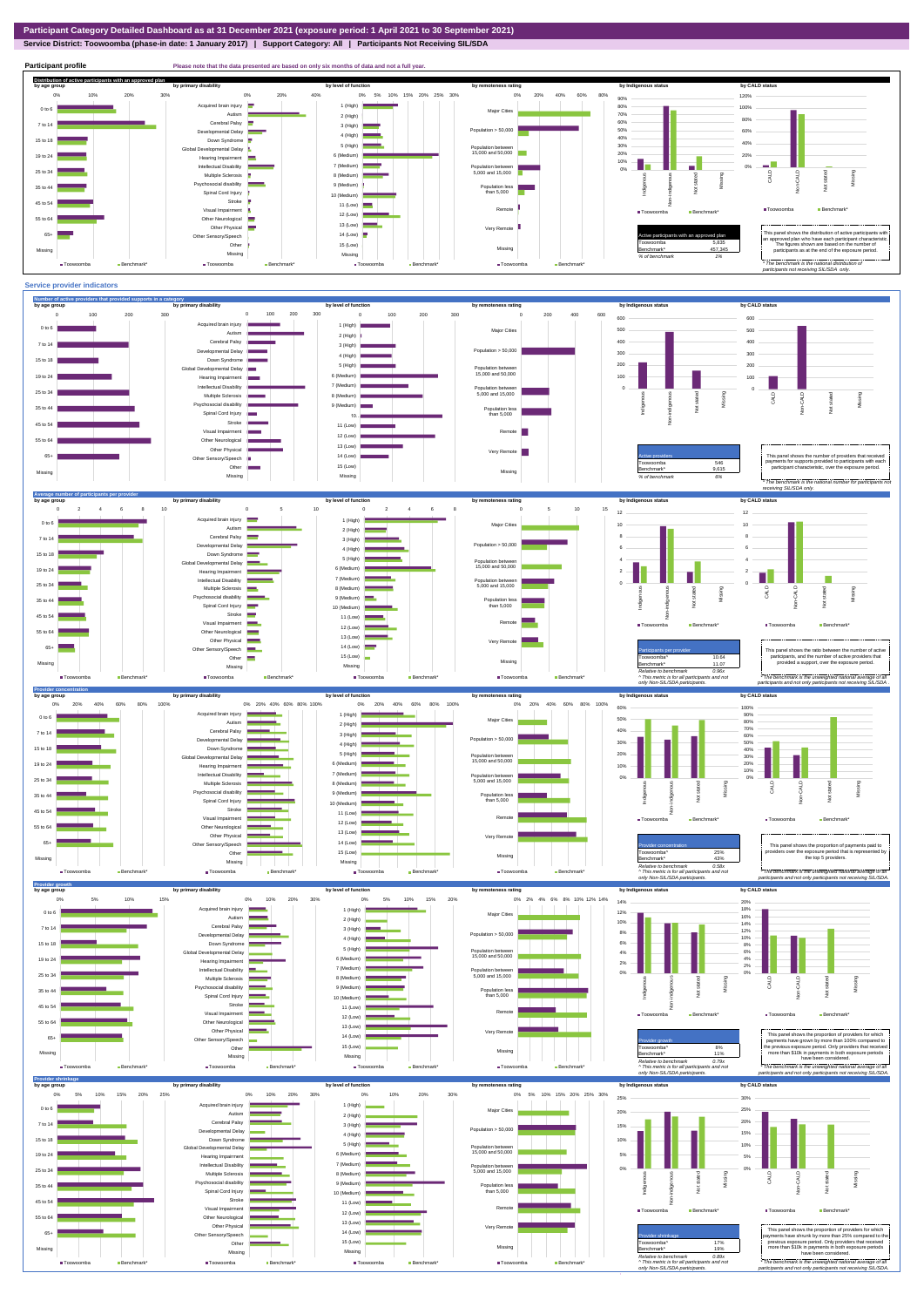## **Service District: Toowoomba (phase-in date: 1 January 2017) | Support Category: All | Participants Not Receiving SIL/SDA**

**Participant profile Please note that the data presented are based on only six months of data and not a full year. Distribution of active participants with an approved plan** by age group by primary disability by remoteness rating by hdigenous status by CALD status 0% 5% 10% 15% 20% 25% 30% 0% 20% 40% 60% 80% 120% 0% 10% 20% 30% 0% 20% 40% 90% d brain injury 1 (High)  $\blacksquare$ 80% 100% ÷. 0 to 6 Major Cities Autism **I** 70% 2 (High) 80% 60% Cerebral Palsy 7 to 14 3 (High) ental Delay Population  $> 50,000$ 50% 60% 4 (High) 40% 15 to 18 Down Syndrome 40% 5 (High) 30% Global Developmental Delay Population between 15,000 and 50,000 20% 6 (Medium) 20% 19 to 24 Hearing Impairment  $\equiv$ 10% 0% - <sup>1</sup> h a 7 (Medium) Intellectual Disability Population between 5,000 and 15,000 0% 25 to 34 Multiple Sclerosis CALD Non-CALD 8 (Medium) anous Non-indigenous .<br>cial disability Indigenc Missing 9 (Medium) Population less than 5,000  $\overline{z}$ 35 to 44  $\ddot{2}$ Spinal Cord Injury Ť 10 (Medium) Stroke 45 to 54 å 11 (Low) ■Toowoomba Benchm Visual Impairment Remote ■Toowoomba Benchmark\* 12 (Low) 55 to 64 Other Neurological 13 (Low) Other Physical Very Remote Active participants with an approved plan This panel shows the distribution of active participants with in the state of the state participant characteristic. 65+ Sensory/Speech 14 (Low) Other 15 (Low) Toowoomba 5,835 The figures shown are based on the number of participants as at the end of the exposure period. Missing 457,345 Missing Missing Missing *% of benchmark 1% The benchmark is the natio participants not receiving SIL/SDA only.* ■Toowoomba Benchmark\* ■Toowoomba Benchmark\* ■Toowoomba Ben Toowoomba **Benchmark**\*



Missing